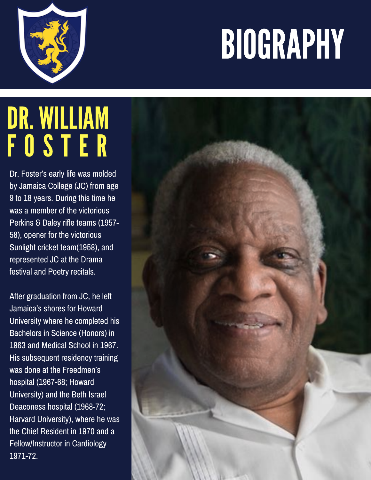## BIOGRAPHY



## DR. WILLIAM F O S T E R

Dr. Foster's early life was molded by Jamaica College (JC) from age 9 to 18 years. During this time he was a member of the victorious Perkins & Daley rifle teams (1957- 58), opener for the victorious Sunlight cricket team(1958), and represented JC at the Drama festival and Poetry recitals.

After graduation from JC, he left Jamaica's shores for Howard University where he completed his Bachelors in Science (Honors) in 1963 and Medical School in 1967. His subsequent residency training was done at the Freedmen's hospital (1967-68; Howard University) and the Beth Israel Deaconess hospital (1968-72; Harvard University), where he was the Chief Resident in 1970 and a Fellow/Instructor in Cardiology 1971-72.